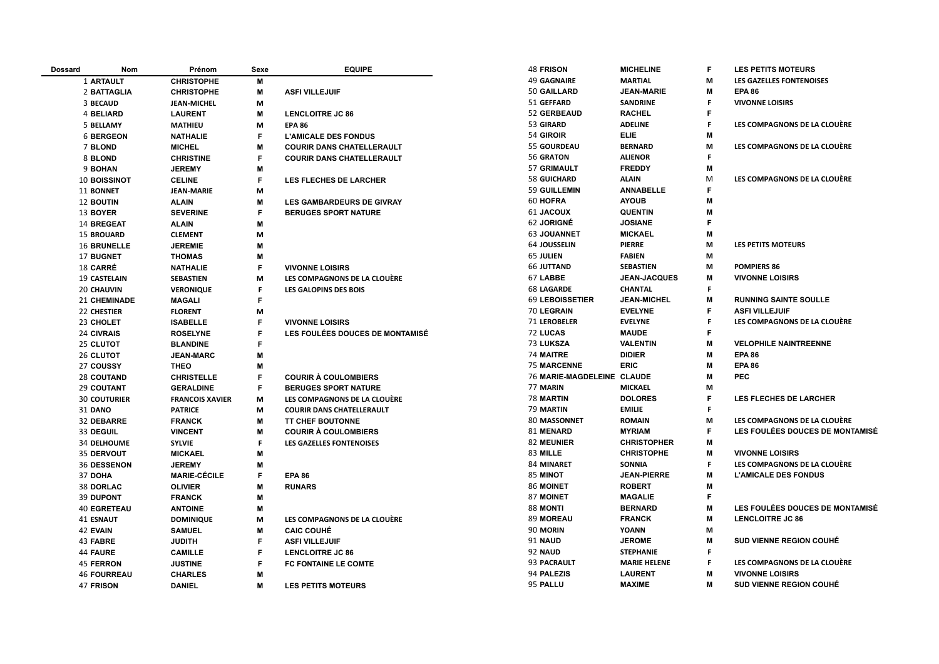| <b>Dossard</b> | Nom                 | Prénom                 | Sexe | <b>EQUIPE</b>                    | <b>48 FRISON</b>           | <b>MICHELINE</b>    | F  | <b>LES PETITS MOTEURS</b>       |
|----------------|---------------------|------------------------|------|----------------------------------|----------------------------|---------------------|----|---------------------------------|
|                | 1 ARTAULT           | <b>CHRISTOPHE</b>      | M    |                                  | <b>49 GAGNAIRE</b>         | <b>MARTIAL</b>      | М  | LES GAZELLES FONTENOISES        |
|                | 2 BATTAGLIA         | <b>CHRISTOPHE</b>      | M    | <b>ASFI VILLEJUIF</b>            | 50 GAILLARD                | <b>JEAN-MARIE</b>   | м  | <b>EPA 86</b>                   |
|                | 3 BECAUD            | <b>JEAN-MICHEL</b>     | M    |                                  | 51 GEFFARD                 | <b>SANDRINE</b>     | F. | <b>VIVONNE LOISIRS</b>          |
|                | 4 BELIARD           | <b>LAURENT</b>         | M    | <b>LENCLOITRE JC 86</b>          | 52 GERBEAUD                | <b>RACHEL</b>       | F  |                                 |
|                | 5 BELLAMY           | <b>MATHIEU</b>         | M    | <b>EPA 86</b>                    | 53 GIRARD                  | <b>ADELINE</b>      | F  | LES COMPAGNONS DE LA CLOUÈRE    |
|                | <b>6 BERGEON</b>    | <b>NATHALIE</b>        | F    | <b>L'AMICALE DES FONDUS</b>      | 54 GIROIR                  | <b>ELIE</b>         | M  |                                 |
|                | 7 BLOND             | <b>MICHEL</b>          | M    | <b>COURIR DANS CHATELLERAULT</b> | 55 GOURDEAU                | <b>BERNARD</b>      | M  | LES COMPAGNONS DE LA CLOUÈRE    |
|                | 8 BLOND             | <b>CHRISTINE</b>       | F    | <b>COURIR DANS CHATELLERAULT</b> | 56 GRATON                  | <b>ALIENOR</b>      | F  |                                 |
|                | 9 BOHAN             | <b>JEREMY</b>          | M    |                                  | 57 GRIMAULT                | <b>FREDDY</b>       | М  |                                 |
|                | 10 BOISSINOT        | <b>CELINE</b>          | F    | <b>LES FLECHES DE LARCHER</b>    | <b>58 GUICHARD</b>         | <b>ALAIN</b>        | M  | LES COMPAGNONS DE LA CLOUÈRE    |
|                | 11 BONNET           | <b>JEAN-MARIE</b>      | M    |                                  | 59 GUILLEMIN               | <b>ANNABELLE</b>    | F. |                                 |
|                | <b>12 BOUTIN</b>    | <b>ALAIN</b>           | M    | <b>LES GAMBARDEURS DE GIVRAY</b> | 60 HOFRA                   | <b>AYOUB</b>        | M  |                                 |
|                | 13 BOYER            | <b>SEVERINE</b>        | F    | <b>BERUGES SPORT NATURE</b>      | <b>61 JACOUX</b>           | <b>QUENTIN</b>      | M  |                                 |
|                | 14 BREGEAT          | <b>ALAIN</b>           | M    |                                  | 62 JORIGNÉ                 | <b>JOSIANE</b>      | F  |                                 |
|                | <b>15 BROUARD</b>   | <b>CLEMENT</b>         | M    |                                  | <b>63 JOUANNET</b>         | <b>MICKAEL</b>      | M  |                                 |
|                | <b>16 BRUNELLE</b>  | <b>JEREMIE</b>         | M    |                                  | <b>64 JOUSSELIN</b>        | <b>PIERRE</b>       | М  | LES PETITS MOTEURS              |
|                | 17 BUGNET           | <b>THOMAS</b>          | M    |                                  | <b>65 JULIEN</b>           | <b>FABIEN</b>       | М  |                                 |
|                | 18 CARRÉ            | <b>NATHALIE</b>        | F    | <b>VIVONNE LOISIRS</b>           | <b>66 JUTTAND</b>          | <b>SEBASTIEN</b>    | M  | <b>POMPIERS 86</b>              |
|                | <b>19 CASTELAIN</b> | <b>SEBASTIEN</b>       | M    | LES COMPAGNONS DE LA CLOUÈRE     | 67 LABBE                   | <b>JEAN-JACQUES</b> | M  | <b>VIVONNE LOISIRS</b>          |
|                | <b>20 CHAUVIN</b>   | <b>VERONIQUE</b>       | F    | <b>LES GALOPINS DES BOIS</b>     | <b>68 LAGARDE</b>          | <b>CHANTAL</b>      | F. |                                 |
|                | <b>21 CHEMINADE</b> | <b>MAGALI</b>          | F.   |                                  | <b>69 LEBOISSETIER</b>     | <b>JEAN-MICHEL</b>  | M  | <b>RUNNING SAINTE SOULLE</b>    |
|                | 22 CHESTIER         | <b>FLORENT</b>         | M    |                                  | 70 LEGRAIN                 | <b>EVELYNE</b>      | F  | <b>ASFI VILLEJUIF</b>           |
|                | 23 CHOLET           | <b>ISABELLE</b>        | F    | <b>VIVONNE LOISIRS</b>           | 71 LEROBELER               | <b>EVELYNE</b>      | F. | LES COMPAGNONS DE LA CLOUÈRE    |
|                | 24 CIVRAIS          | <b>ROSELYNE</b>        | F    | LES FOULÉES DOUCES DE MONTAMISÉ  | 72 LUCAS                   | <b>MAUDE</b>        | F  |                                 |
|                | 25 CLUTOT           | <b>BLANDINE</b>        | F    |                                  | 73 LUKSZA                  | <b>VALENTIN</b>     | M  | <b>VELOPHILE NAINTREENNE</b>    |
|                | 26 CLUTOT           | <b>JEAN-MARC</b>       | M    |                                  | <b>74 MAITRE</b>           | <b>DIDIER</b>       | м  | <b>EPA 86</b>                   |
|                | 27 COUSSY           | <b>THEO</b>            | M    |                                  | <b>75 MARCENNE</b>         | <b>ERIC</b>         | M  | <b>EPA 86</b>                   |
|                | <b>28 COUTAND</b>   | <b>CHRISTELLE</b>      | F    | <b>COURIR À COULOMBIERS</b>      | 76 MARIE-MAGDELEINE CLAUDE |                     | M  | <b>PEC</b>                      |
|                | 29 COUTANT          | <b>GERALDINE</b>       | F    | <b>BERUGES SPORT NATURE</b>      | 77 MARIN                   | <b>MICKAEL</b>      | M  |                                 |
|                | <b>30 COUTURIER</b> | <b>FRANCOIS XAVIER</b> | M    | LES COMPAGNONS DE LA CLOUÈRE     | 78 MARTIN                  | <b>DOLORES</b>      | F  | <b>LES FLECHES DE LARCHER</b>   |
|                | <b>31 DANO</b>      | <b>PATRICE</b>         | M    | <b>COURIR DANS CHATELLERAULT</b> | 79 MARTIN                  | <b>EMILIE</b>       | F. |                                 |
|                | 32 DEBARRE          | <b>FRANCK</b>          | M    | <b>TT CHEF BOUTONNE</b>          | 80 MASSONNET               | <b>ROMAIN</b>       | M  | LES COMPAGNONS DE LA CLOUÈRE    |
|                | 33 DEGUIL           | <b>VINCENT</b>         | M    | <b>COURIR À COULOMBIERS</b>      | 81 MENARD                  | <b>MYRIAM</b>       | F  | LES FOULÉES DOUCES DE MONTAMISÉ |
|                | <b>34 DELHOUME</b>  | <b>SYLVIE</b>          | F    | <b>LES GAZELLES FONTENOISES</b>  | <b>82 MEUNIER</b>          | <b>CHRISTOPHER</b>  | м  |                                 |
|                | 35 DERVOUT          | <b>MICKAEL</b>         | M    |                                  | 83 MILLE                   | <b>CHRISTOPHE</b>   | M  | <b>VIVONNE LOISIRS</b>          |
|                | <b>36 DESSENON</b>  | <b>JEREMY</b>          | M    |                                  | 84 MINARET                 | SONNIA              | F. | LES COMPAGNONS DE LA CLOUÈRE    |
|                | 37 DOHA             | <b>MARIE-CÉCILE</b>    | F    | <b>EPA 86</b>                    | 85 MINOT                   | <b>JEAN-PIERRE</b>  | M  | <b>L'AMICALE DES FONDUS</b>     |
|                | <b>38 DORLAC</b>    | <b>OLIVIER</b>         | M    | <b>RUNARS</b>                    | 86 MOINET                  | <b>ROBERT</b>       | M  |                                 |
|                | <b>39 DUPONT</b>    | <b>FRANCK</b>          | M    |                                  | <b>87 MOINET</b>           | <b>MAGALIE</b>      | F  |                                 |
|                | <b>40 EGRETEAU</b>  | <b>ANTOINE</b>         | M    |                                  | 88 MONTI                   | <b>BERNARD</b>      | M  | LES FOULÉES DOUCES DE MONTAMISÉ |
|                | <b>41 ESNAUT</b>    | <b>DOMINIQUE</b>       | M    | LES COMPAGNONS DE LA CLOUÈRE     | 89 MOREAU                  | <b>FRANCK</b>       | M  | <b>LENCLOITRE JC 86</b>         |
|                | 42 EVAIN            | <b>SAMUEL</b>          | M    | <b>CAIC COUHÉ</b>                | 90 MORIN                   | <b>YOANN</b>        | M  |                                 |
|                | 43 FABRE            | <b>JUDITH</b>          | F    | <b>ASFI VILLEJUIF</b>            | 91 NAUD                    | <b>JEROME</b>       | M  | <b>SUD VIENNE REGION COUHÉ</b>  |
|                | <b>44 FAURE</b>     | <b>CAMILLE</b>         | F    | <b>LENCLOITRE JC 86</b>          | 92 NAUD                    | <b>STEPHANIE</b>    | F  |                                 |
|                | <b>45 FERRON</b>    | <b>JUSTINE</b>         | F    | <b>FC FONTAINE LE COMTE</b>      | 93 PACRAULT                | <b>MARIE HELENE</b> | F  | LES COMPAGNONS DE LA CLOUÈRE    |
|                | <b>46 FOURREAU</b>  | <b>CHARLES</b>         | M    |                                  | 94 PALEZIS                 | <b>LAURENT</b>      | M  | <b>VIVONNE LOISIRS</b>          |
|                | 47 FRISON           | <b>DANIEL</b>          | M    | <b>LES PETITS MOTEURS</b>        | 95 PALLU                   | <b>MAXIME</b>       | м  | <b>SUD VIENNE REGION COUHÉ</b>  |